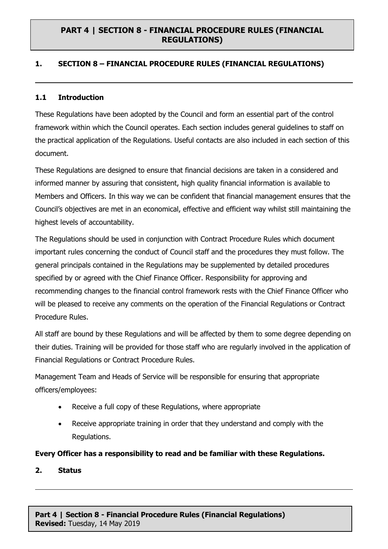# **1. SECTION 8 – FINANCIAL PROCEDURE RULES (FINANCIAL REGULATIONS)**

#### **1.1 Introduction**

These Regulations have been adopted by the Council and form an essential part of the control framework within which the Council operates. Each section includes general guidelines to staff on the practical application of the Regulations. Useful contacts are also included in each section of this document.

These Regulations are designed to ensure that financial decisions are taken in a considered and informed manner by assuring that consistent, high quality financial information is available to Members and Officers. In this way we can be confident that financial management ensures that the Council's objectives are met in an economical, effective and efficient way whilst still maintaining the highest levels of accountability.

The Regulations should be used in conjunction with Contract Procedure Rules which document important rules concerning the conduct of Council staff and the procedures they must follow. The general principals contained in the Regulations may be supplemented by detailed procedures specified by or agreed with the Chief Finance Officer. Responsibility for approving and recommending changes to the financial control framework rests with the Chief Finance Officer who will be pleased to receive any comments on the operation of the Financial Regulations or Contract Procedure Rules.

All staff are bound by these Regulations and will be affected by them to some degree depending on their duties. Training will be provided for those staff who are regularly involved in the application of Financial Regulations or Contract Procedure Rules.

Management Team and Heads of Service will be responsible for ensuring that appropriate officers/employees:

- Receive a full copy of these Regulations, where appropriate
- Receive appropriate training in order that they understand and comply with the Regulations.

**Every Officer has a responsibility to read and be familiar with these Regulations.**

**2. Status**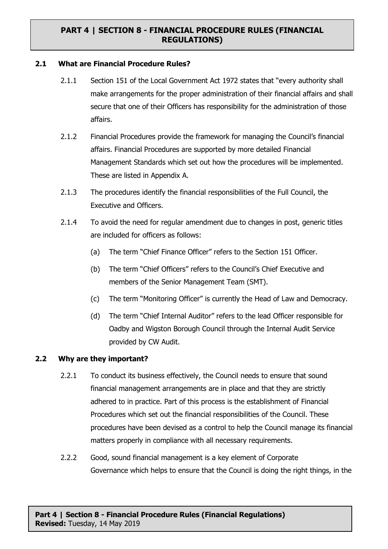#### **2.1 What are Financial Procedure Rules?**

- 2.1.1 Section 151 of the Local Government Act 1972 states that "every authority shall make arrangements for the proper administration of their financial affairs and shall secure that one of their Officers has responsibility for the administration of those affairs.
- 2.1.2 Financial Procedures provide the framework for managing the Council's financial affairs. Financial Procedures are supported by more detailed Financial Management Standards which set out how the procedures will be implemented. These are listed in Appendix A.
- 2.1.3 The procedures identify the financial responsibilities of the Full Council, the Executive and Officers.
- 2.1.4 To avoid the need for regular amendment due to changes in post, generic titles are included for officers as follows:
	- (a) The term "Chief Finance Officer" refers to the Section 151 Officer.
	- (b) The term "Chief Officers" refers to the Council's Chief Executive and members of the Senior Management Team (SMT).
	- (c) The term "Monitoring Officer" is currently the Head of Law and Democracy.
	- (d) The term "Chief Internal Auditor" refers to the lead Officer responsible for Oadby and Wigston Borough Council through the Internal Audit Service provided by CW Audit.

#### **2.2 Why are they important?**

- 2.2.1 To conduct its business effectively, the Council needs to ensure that sound financial management arrangements are in place and that they are strictly adhered to in practice. Part of this process is the establishment of Financial Procedures which set out the financial responsibilities of the Council. These procedures have been devised as a control to help the Council manage its financial matters properly in compliance with all necessary requirements.
- 2.2.2 Good, sound financial management is a key element of Corporate Governance which helps to ensure that the Council is doing the right things, in the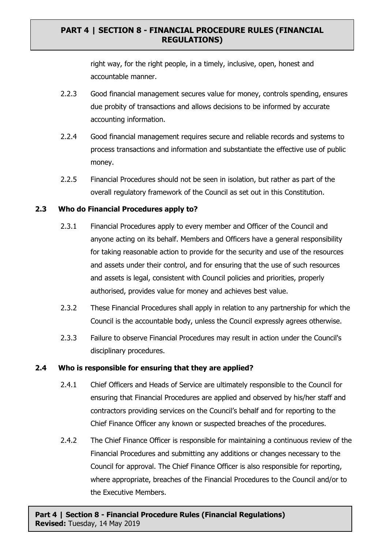right way, for the right people, in a timely, inclusive, open, honest and accountable manner.

- 2.2.3 Good financial management secures value for money, controls spending, ensures due probity of transactions and allows decisions to be informed by accurate accounting information.
- 2.2.4 Good financial management requires secure and reliable records and systems to process transactions and information and substantiate the effective use of public money.
- 2.2.5 Financial Procedures should not be seen in isolation, but rather as part of the overall regulatory framework of the Council as set out in this Constitution.

#### **2.3 Who do Financial Procedures apply to?**

- 2.3.1 Financial Procedures apply to every member and Officer of the Council and anyone acting on its behalf. Members and Officers have a general responsibility for taking reasonable action to provide for the security and use of the resources and assets under their control, and for ensuring that the use of such resources and assets is legal, consistent with Council policies and priorities, properly authorised, provides value for money and achieves best value.
- 2.3.2 These Financial Procedures shall apply in relation to any partnership for which the Council is the accountable body, unless the Council expressly agrees otherwise.
- 2.3.3 Failure to observe Financial Procedures may result in action under the Council's disciplinary procedures.

# **2.4 Who is responsible for ensuring that they are applied?**

- 2.4.1 Chief Officers and Heads of Service are ultimately responsible to the Council for ensuring that Financial Procedures are applied and observed by his/her staff and contractors providing services on the Council's behalf and for reporting to the Chief Finance Officer any known or suspected breaches of the procedures.
- 2.4.2 The Chief Finance Officer is responsible for maintaining a continuous review of the Financial Procedures and submitting any additions or changes necessary to the Council for approval. The Chief Finance Officer is also responsible for reporting, where appropriate, breaches of the Financial Procedures to the Council and/or to the Executive Members.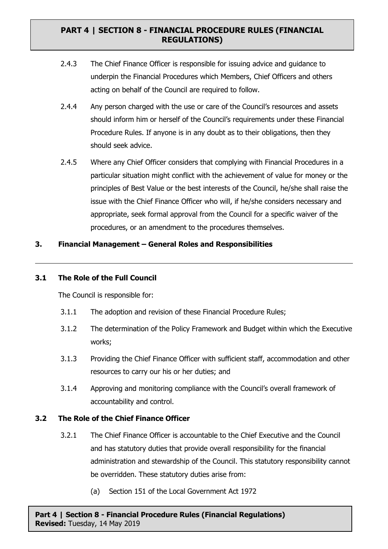- 2.4.3 The Chief Finance Officer is responsible for issuing advice and guidance to underpin the Financial Procedures which Members, Chief Officers and others acting on behalf of the Council are required to follow.
- 2.4.4 Any person charged with the use or care of the Council's resources and assets should inform him or herself of the Council's requirements under these Financial Procedure Rules. If anyone is in any doubt as to their obligations, then they should seek advice.
- 2.4.5 Where any Chief Officer considers that complying with Financial Procedures in a particular situation might conflict with the achievement of value for money or the principles of Best Value or the best interests of the Council, he/she shall raise the issue with the Chief Finance Officer who will, if he/she considers necessary and appropriate, seek formal approval from the Council for a specific waiver of the procedures, or an amendment to the procedures themselves.

# **3. Financial Management – General Roles and Responsibilities**

#### **3.1 The Role of the Full Council**

The Council is responsible for:

- 3.1.1 The adoption and revision of these Financial Procedure Rules;
- 3.1.2 The determination of the Policy Framework and Budget within which the Executive works;
- 3.1.3 Providing the Chief Finance Officer with sufficient staff, accommodation and other resources to carry our his or her duties; and
- 3.1.4 Approving and monitoring compliance with the Council's overall framework of accountability and control.

#### **3.2 The Role of the Chief Finance Officer**

- 3.2.1 The Chief Finance Officer is accountable to the Chief Executive and the Council and has statutory duties that provide overall responsibility for the financial administration and stewardship of the Council. This statutory responsibility cannot be overridden. These statutory duties arise from:
	- (a) Section 151 of the Local Government Act 1972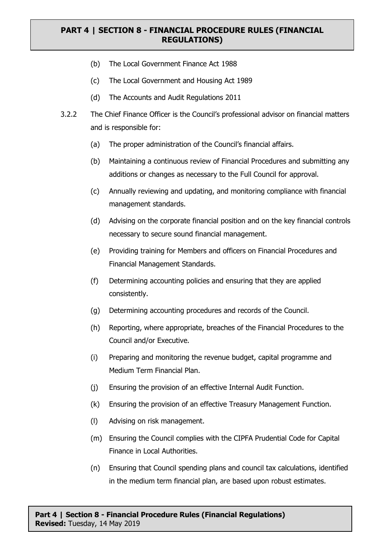- (b) The Local Government Finance Act 1988
- (c) The Local Government and Housing Act 1989
- (d) The Accounts and Audit Regulations 2011
- 3.2.2 The Chief Finance Officer is the Council's professional advisor on financial matters and is responsible for:
	- (a) The proper administration of the Council's financial affairs.
	- (b) Maintaining a continuous review of Financial Procedures and submitting any additions or changes as necessary to the Full Council for approval.
	- (c) Annually reviewing and updating, and monitoring compliance with financial management standards.
	- (d) Advising on the corporate financial position and on the key financial controls necessary to secure sound financial management.
	- (e) Providing training for Members and officers on Financial Procedures and Financial Management Standards.
	- (f) Determining accounting policies and ensuring that they are applied consistently.
	- (g) Determining accounting procedures and records of the Council.
	- (h) Reporting, where appropriate, breaches of the Financial Procedures to the Council and/or Executive.
	- (i) Preparing and monitoring the revenue budget, capital programme and Medium Term Financial Plan.
	- (j) Ensuring the provision of an effective Internal Audit Function.
	- (k) Ensuring the provision of an effective Treasury Management Function.
	- (l) Advising on risk management.
	- (m) Ensuring the Council complies with the CIPFA Prudential Code for Capital Finance in Local Authorities.
	- (n) Ensuring that Council spending plans and council tax calculations, identified in the medium term financial plan, are based upon robust estimates.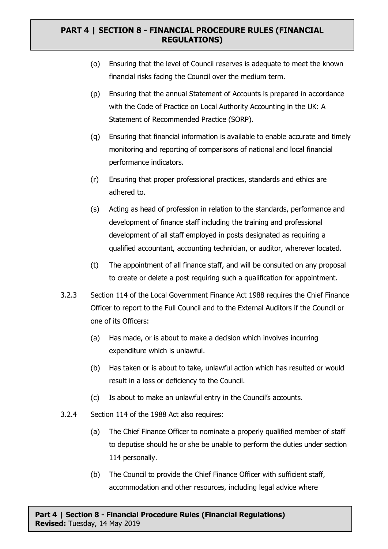- (o) Ensuring that the level of Council reserves is adequate to meet the known financial risks facing the Council over the medium term.
- (p) Ensuring that the annual Statement of Accounts is prepared in accordance with the Code of Practice on Local Authority Accounting in the UK: A Statement of Recommended Practice (SORP).
- (q) Ensuring that financial information is available to enable accurate and timely monitoring and reporting of comparisons of national and local financial performance indicators.
- (r) Ensuring that proper professional practices, standards and ethics are adhered to.
- (s) Acting as head of profession in relation to the standards, performance and development of finance staff including the training and professional development of all staff employed in posts designated as requiring a qualified accountant, accounting technician, or auditor, wherever located.
- (t) The appointment of all finance staff, and will be consulted on any proposal to create or delete a post requiring such a qualification for appointment.
- 3.2.3 Section 114 of the Local Government Finance Act 1988 requires the Chief Finance Officer to report to the Full Council and to the External Auditors if the Council or one of its Officers:
	- (a) Has made, or is about to make a decision which involves incurring expenditure which is unlawful.
	- (b) Has taken or is about to take, unlawful action which has resulted or would result in a loss or deficiency to the Council.
	- (c) Is about to make an unlawful entry in the Council's accounts.
- 3.2.4 Section 114 of the 1988 Act also requires:
	- (a) The Chief Finance Officer to nominate a properly qualified member of staff to deputise should he or she be unable to perform the duties under section 114 personally.
	- (b) The Council to provide the Chief Finance Officer with sufficient staff, accommodation and other resources, including legal advice where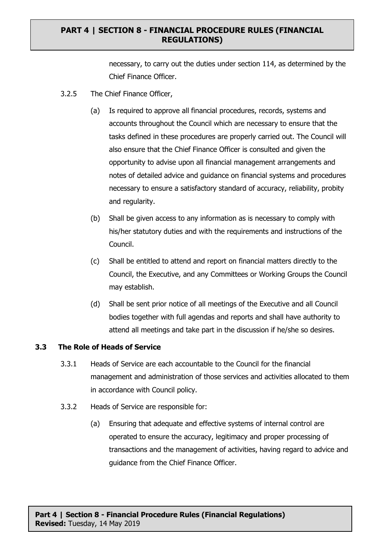necessary, to carry out the duties under section 114, as determined by the Chief Finance Officer.

- 3.2.5 The Chief Finance Officer,
	- (a) Is required to approve all financial procedures, records, systems and accounts throughout the Council which are necessary to ensure that the tasks defined in these procedures are properly carried out. The Council will also ensure that the Chief Finance Officer is consulted and given the opportunity to advise upon all financial management arrangements and notes of detailed advice and guidance on financial systems and procedures necessary to ensure a satisfactory standard of accuracy, reliability, probity and regularity.
	- (b) Shall be given access to any information as is necessary to comply with his/her statutory duties and with the requirements and instructions of the Council.
	- (c) Shall be entitled to attend and report on financial matters directly to the Council, the Executive, and any Committees or Working Groups the Council may establish.
	- (d) Shall be sent prior notice of all meetings of the Executive and all Council bodies together with full agendas and reports and shall have authority to attend all meetings and take part in the discussion if he/she so desires.

#### **3.3 The Role of Heads of Service**

- 3.3.1 Heads of Service are each accountable to the Council for the financial management and administration of those services and activities allocated to them in accordance with Council policy.
- 3.3.2 Heads of Service are responsible for:
	- (a) Ensuring that adequate and effective systems of internal control are operated to ensure the accuracy, legitimacy and proper processing of transactions and the management of activities, having regard to advice and guidance from the Chief Finance Officer.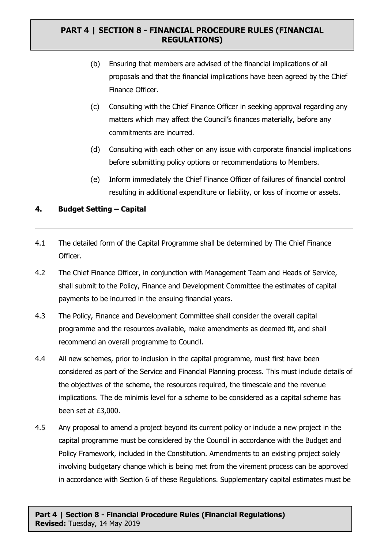- (b) Ensuring that members are advised of the financial implications of all proposals and that the financial implications have been agreed by the Chief Finance Officer.
- (c) Consulting with the Chief Finance Officer in seeking approval regarding any matters which may affect the Council's finances materially, before any commitments are incurred.
- (d) Consulting with each other on any issue with corporate financial implications before submitting policy options or recommendations to Members.
- (e) Inform immediately the Chief Finance Officer of failures of financial control resulting in additional expenditure or liability, or loss of income or assets.

# **4. Budget Setting – Capital**

- 4.1 The detailed form of the Capital Programme shall be determined by The Chief Finance Officer.
- 4.2 The Chief Finance Officer, in conjunction with Management Team and Heads of Service, shall submit to the Policy, Finance and Development Committee the estimates of capital payments to be incurred in the ensuing financial years.
- 4.3 The Policy, Finance and Development Committee shall consider the overall capital programme and the resources available, make amendments as deemed fit, and shall recommend an overall programme to Council.
- 4.4 All new schemes, prior to inclusion in the capital programme, must first have been considered as part of the Service and Financial Planning process. This must include details of the objectives of the scheme, the resources required, the timescale and the revenue implications. The de minimis level for a scheme to be considered as a capital scheme has been set at £3,000.
- 4.5 Any proposal to amend a project beyond its current policy or include a new project in the capital programme must be considered by the Council in accordance with the Budget and Policy Framework, included in the Constitution. Amendments to an existing project solely involving budgetary change which is being met from the virement process can be approved in accordance with Section 6 of these Regulations. Supplementary capital estimates must be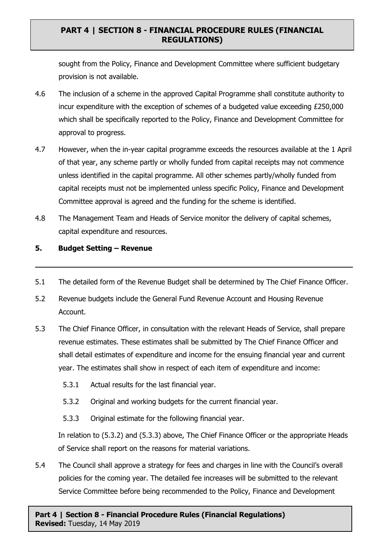sought from the Policy, Finance and Development Committee where sufficient budgetary provision is not available.

- 4.6 The inclusion of a scheme in the approved Capital Programme shall constitute authority to incur expenditure with the exception of schemes of a budgeted value exceeding £250,000 which shall be specifically reported to the Policy, Finance and Development Committee for approval to progress.
- 4.7 However, when the in-year capital programme exceeds the resources available at the 1 April of that year, any scheme partly or wholly funded from capital receipts may not commence unless identified in the capital programme. All other schemes partly/wholly funded from capital receipts must not be implemented unless specific Policy, Finance and Development Committee approval is agreed and the funding for the scheme is identified.
- 4.8 The Management Team and Heads of Service monitor the delivery of capital schemes, capital expenditure and resources.

#### **5. Budget Setting – Revenue**

- 5.1 The detailed form of the Revenue Budget shall be determined by The Chief Finance Officer.
- 5.2 Revenue budgets include the General Fund Revenue Account and Housing Revenue Account.
- 5.3 The Chief Finance Officer, in consultation with the relevant Heads of Service, shall prepare revenue estimates. These estimates shall be submitted by The Chief Finance Officer and shall detail estimates of expenditure and income for the ensuing financial year and current year. The estimates shall show in respect of each item of expenditure and income:
	- 5.3.1 Actual results for the last financial year.
	- 5.3.2 Original and working budgets for the current financial year.
	- 5.3.3 Original estimate for the following financial year.

In relation to (5.3.2) and (5.3.3) above, The Chief Finance Officer or the appropriate Heads of Service shall report on the reasons for material variations.

5.4 The Council shall approve a strategy for fees and charges in line with the Council's overall policies for the coming year. The detailed fee increases will be submitted to the relevant Service Committee before being recommended to the Policy, Finance and Development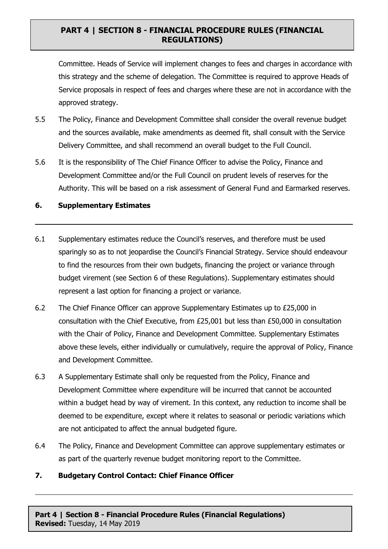Committee. Heads of Service will implement changes to fees and charges in accordance with this strategy and the scheme of delegation. The Committee is required to approve Heads of Service proposals in respect of fees and charges where these are not in accordance with the approved strategy.

- 5.5 The Policy, Finance and Development Committee shall consider the overall revenue budget and the sources available, make amendments as deemed fit, shall consult with the Service Delivery Committee, and shall recommend an overall budget to the Full Council.
- 5.6 It is the responsibility of The Chief Finance Officer to advise the Policy, Finance and Development Committee and/or the Full Council on prudent levels of reserves for the Authority. This will be based on a risk assessment of General Fund and Earmarked reserves.

#### **6. Supplementary Estimates**

- 6.1 Supplementary estimates reduce the Council's reserves, and therefore must be used sparingly so as to not jeopardise the Council's Financial Strategy. Service should endeavour to find the resources from their own budgets, financing the project or variance through budget virement (see Section 6 of these Regulations). Supplementary estimates should represent a last option for financing a project or variance.
- 6.2 The Chief Finance Officer can approve Supplementary Estimates up to £25,000 in consultation with the Chief Executive, from £25,001 but less than £50,000 in consultation with the Chair of Policy, Finance and Development Committee. Supplementary Estimates above these levels, either individually or cumulatively, require the approval of Policy, Finance and Development Committee.
- 6.3 A Supplementary Estimate shall only be requested from the Policy, Finance and Development Committee where expenditure will be incurred that cannot be accounted within a budget head by way of virement. In this context, any reduction to income shall be deemed to be expenditure, except where it relates to seasonal or periodic variations which are not anticipated to affect the annual budgeted figure.
- 6.4 The Policy, Finance and Development Committee can approve supplementary estimates or as part of the quarterly revenue budget monitoring report to the Committee.

# **7. Budgetary Control Contact: Chief Finance Officer**

**Part 4 | Section 8 - Financial Procedure Rules (Financial Regulations) Revised:** Tuesday, 14 May 2019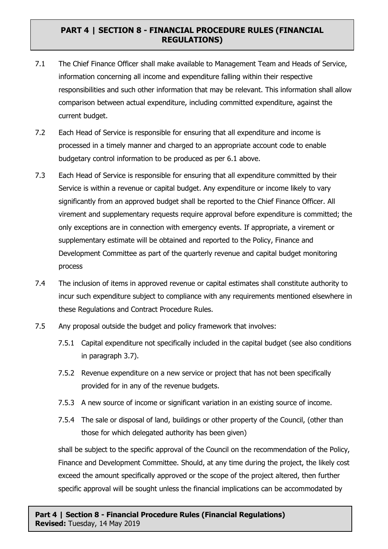- 7.1 The Chief Finance Officer shall make available to Management Team and Heads of Service, information concerning all income and expenditure falling within their respective responsibilities and such other information that may be relevant. This information shall allow comparison between actual expenditure, including committed expenditure, against the current budget.
- 7.2 Each Head of Service is responsible for ensuring that all expenditure and income is processed in a timely manner and charged to an appropriate account code to enable budgetary control information to be produced as per 6.1 above.
- 7.3 Each Head of Service is responsible for ensuring that all expenditure committed by their Service is within a revenue or capital budget. Any expenditure or income likely to vary significantly from an approved budget shall be reported to the Chief Finance Officer. All virement and supplementary requests require approval before expenditure is committed; the only exceptions are in connection with emergency events. If appropriate, a virement or supplementary estimate will be obtained and reported to the Policy, Finance and Development Committee as part of the quarterly revenue and capital budget monitoring process
- 7.4 The inclusion of items in approved revenue or capital estimates shall constitute authority to incur such expenditure subject to compliance with any requirements mentioned elsewhere in these Regulations and Contract Procedure Rules.
- 7.5 Any proposal outside the budget and policy framework that involves:
	- 7.5.1 Capital expenditure not specifically included in the capital budget (see also conditions in paragraph 3.7).
	- 7.5.2 Revenue expenditure on a new service or project that has not been specifically provided for in any of the revenue budgets.
	- 7.5.3 A new source of income or significant variation in an existing source of income.
	- 7.5.4 The sale or disposal of land, buildings or other property of the Council, (other than those for which delegated authority has been given)

shall be subject to the specific approval of the Council on the recommendation of the Policy, Finance and Development Committee. Should, at any time during the project, the likely cost exceed the amount specifically approved or the scope of the project altered, then further specific approval will be sought unless the financial implications can be accommodated by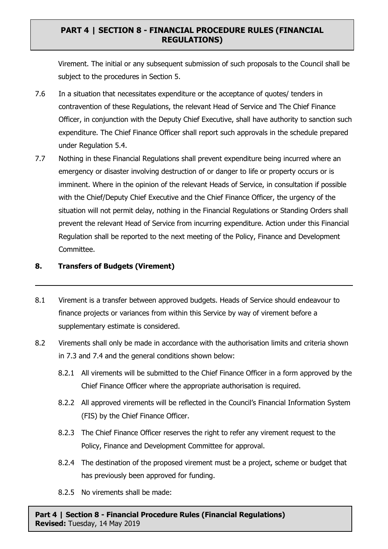Virement. The initial or any subsequent submission of such proposals to the Council shall be subject to the procedures in Section 5.

- 7.6 In a situation that necessitates expenditure or the acceptance of quotes/ tenders in contravention of these Regulations, the relevant Head of Service and The Chief Finance Officer, in conjunction with the Deputy Chief Executive, shall have authority to sanction such expenditure. The Chief Finance Officer shall report such approvals in the schedule prepared under Regulation 5.4.
- 7.7 Nothing in these Financial Regulations shall prevent expenditure being incurred where an emergency or disaster involving destruction of or danger to life or property occurs or is imminent. Where in the opinion of the relevant Heads of Service, in consultation if possible with the Chief/Deputy Chief Executive and the Chief Finance Officer, the urgency of the situation will not permit delay, nothing in the Financial Regulations or Standing Orders shall prevent the relevant Head of Service from incurring expenditure. Action under this Financial Regulation shall be reported to the next meeting of the Policy, Finance and Development Committee.

#### **8. Transfers of Budgets (Virement)**

- 8.1 Virement is a transfer between approved budgets. Heads of Service should endeavour to finance projects or variances from within this Service by way of virement before a supplementary estimate is considered.
- 8.2 Virements shall only be made in accordance with the authorisation limits and criteria shown in 7.3 and 7.4 and the general conditions shown below:
	- 8.2.1 All virements will be submitted to the Chief Finance Officer in a form approved by the Chief Finance Officer where the appropriate authorisation is required.
	- 8.2.2 All approved virements will be reflected in the Council's Financial Information System (FIS) by the Chief Finance Officer.
	- 8.2.3 The Chief Finance Officer reserves the right to refer any virement request to the Policy, Finance and Development Committee for approval.
	- 8.2.4 The destination of the proposed virement must be a project, scheme or budget that has previously been approved for funding.
	- 8.2.5 No virements shall be made:

**Part 4 | Section 8 - Financial Procedure Rules (Financial Regulations) Revised:** Tuesday, 14 May 2019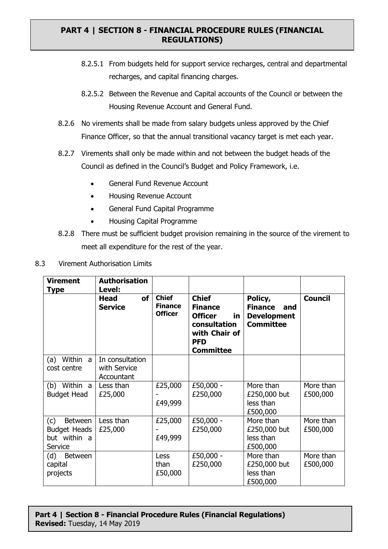- 8.2.5.1 From budgets held for support service recharges, central and departmental recharges, and capital financing charges.
- 8.2.5.2 Between the Revenue and Capital accounts of the Council or between the Housing Revenue Account and General Fund.
- 8.2.6 No virements shall be made from salary budgets unless approved by the Chief Finance Officer, so that the annual transitional vacancy target is met each year.
- 8.2.7 Virements shall only be made within and not between the budget heads of the Council as defined in the Council's Budget and Policy Framework, i.e.
	- General Fund Revenue Account
	- Housing Revenue Account
	- General Fund Capital Programme
	- Housing Capital Programme
- 8.2.8 There must be sufficient budget provision remaining in the source of the virement to meet all expenditure for the rest of the year.

| 8.3 | Virement Authorisation Limits |  |
|-----|-------------------------------|--|
|     |                               |  |

| <b>Virement</b><br>Type                                                 | <b>Authorisation</b><br>Level:                |                                                  |                                                                                                                            |                                                                            |                       |
|-------------------------------------------------------------------------|-----------------------------------------------|--------------------------------------------------|----------------------------------------------------------------------------------------------------------------------------|----------------------------------------------------------------------------|-----------------------|
|                                                                         | of<br><b>Head</b><br><b>Service</b>           | <b>Chief</b><br><b>Finance</b><br><b>Officer</b> | <b>Chief</b><br><b>Finance</b><br><b>Officer</b><br>in.<br>consultation<br>with Chair of<br><b>PFD</b><br><b>Committee</b> | Policy,<br><b>Finance</b><br>and<br><b>Development</b><br><b>Committee</b> | <b>Council</b>        |
| Within<br>(a)<br>a<br>cost centre                                       | In consultation<br>with Service<br>Accountant |                                                  |                                                                                                                            |                                                                            |                       |
| (b) Within a<br><b>Budget Head</b>                                      | Less than<br>£25,000                          | £25,000<br>£49,999                               | £50,000 -<br>£250,000                                                                                                      | More than<br>£250,000 but<br>less than<br>£500,000                         | More than<br>£500,000 |
| (c)<br><b>Between</b><br><b>Budget Heads</b><br>but within a<br>Service | Less than<br>£25,000                          | £25,000<br>£49,999                               | £50,000 -<br>£250,000                                                                                                      | More than<br>£250,000 but<br>less than<br>£500,000                         | More than<br>£500,000 |
| (d)<br><b>Between</b><br>capital<br>projects                            |                                               | Less<br>than<br>£50,000                          | £50,000 -<br>£250,000                                                                                                      | More than<br>£250,000 but<br>less than<br>£500,000                         | More than<br>£500,000 |

#### **Part 4 | Section 8 - Financial Procedure Rules (Financial Regulations) Revised:** Tuesday, 14 May 2019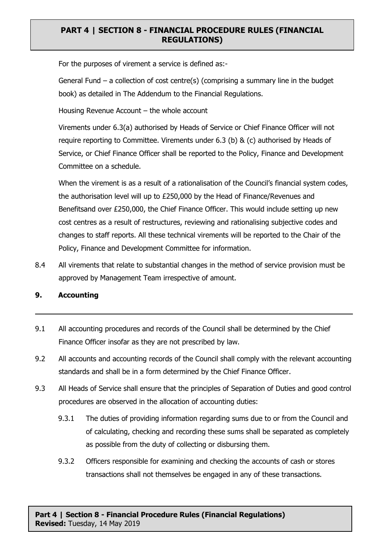For the purposes of virement a service is defined as:-

General Fund – a collection of cost centre(s) (comprising a summary line in the budget book) as detailed in The Addendum to the Financial Regulations.

Housing Revenue Account – the whole account

Virements under 6.3(a) authorised by Heads of Service or Chief Finance Officer will not require reporting to Committee. Virements under 6.3 (b) & (c) authorised by Heads of Service, or Chief Finance Officer shall be reported to the Policy, Finance and Development Committee on a schedule.

When the virement is as a result of a rationalisation of the Council's financial system codes, the authorisation level will up to £250,000 by the Head of Finance/Revenues and Benefitsand over £250,000, the Chief Finance Officer. This would include setting up new cost centres as a result of restructures, reviewing and rationalising subjective codes and changes to staff reports. All these technical virements will be reported to the Chair of the Policy, Finance and Development Committee for information.

8.4 All virements that relate to substantial changes in the method of service provision must be approved by Management Team irrespective of amount.

# **9. Accounting**

- 9.1 All accounting procedures and records of the Council shall be determined by the Chief Finance Officer insofar as they are not prescribed by law.
- 9.2 All accounts and accounting records of the Council shall comply with the relevant accounting standards and shall be in a form determined by the Chief Finance Officer.
- 9.3 All Heads of Service shall ensure that the principles of Separation of Duties and good control procedures are observed in the allocation of accounting duties:
	- 9.3.1 The duties of providing information regarding sums due to or from the Council and of calculating, checking and recording these sums shall be separated as completely as possible from the duty of collecting or disbursing them.
	- 9.3.2 Officers responsible for examining and checking the accounts of cash or stores transactions shall not themselves be engaged in any of these transactions.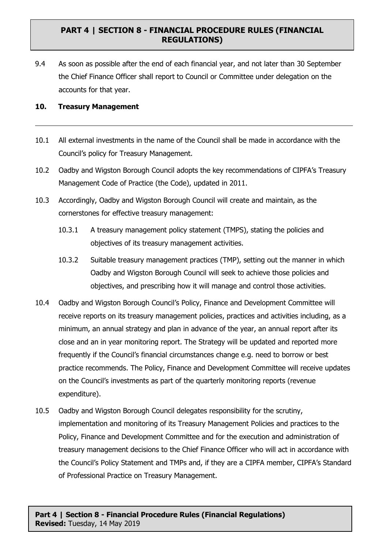9.4 As soon as possible after the end of each financial year, and not later than 30 September the Chief Finance Officer shall report to Council or Committee under delegation on the accounts for that year.

#### **10. Treasury Management**

- 10.1 All external investments in the name of the Council shall be made in accordance with the Council's policy for Treasury Management.
- 10.2 Oadby and Wigston Borough Council adopts the key recommendations of CIPFA's Treasury Management Code of Practice (the Code), updated in 2011.
- 10.3 Accordingly, Oadby and Wigston Borough Council will create and maintain, as the cornerstones for effective treasury management:
	- 10.3.1 A treasury management policy statement (TMPS), stating the policies and objectives of its treasury management activities.
	- 10.3.2 Suitable treasury management practices (TMP), setting out the manner in which Oadby and Wigston Borough Council will seek to achieve those policies and objectives, and prescribing how it will manage and control those activities.
- 10.4 Oadby and Wigston Borough Council's Policy, Finance and Development Committee will receive reports on its treasury management policies, practices and activities including, as a minimum, an annual strategy and plan in advance of the year, an annual report after its close and an in year monitoring report. The Strategy will be updated and reported more frequently if the Council's financial circumstances change e.g. need to borrow or best practice recommends. The Policy, Finance and Development Committee will receive updates on the Council's investments as part of the quarterly monitoring reports (revenue expenditure).
- 10.5 Oadby and Wigston Borough Council delegates responsibility for the scrutiny, implementation and monitoring of its Treasury Management Policies and practices to the Policy, Finance and Development Committee and for the execution and administration of treasury management decisions to the Chief Finance Officer who will act in accordance with the Council's Policy Statement and TMPs and, if they are a CIPFA member, CIPFA's Standard of Professional Practice on Treasury Management.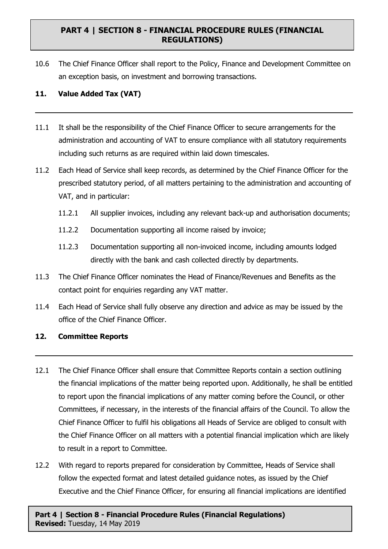10.6 The Chief Finance Officer shall report to the Policy, Finance and Development Committee on an exception basis, on investment and borrowing transactions.

### **11. Value Added Tax (VAT)**

- 11.1 It shall be the responsibility of the Chief Finance Officer to secure arrangements for the administration and accounting of VAT to ensure compliance with all statutory requirements including such returns as are required within laid down timescales.
- 11.2 Each Head of Service shall keep records, as determined by the Chief Finance Officer for the prescribed statutory period, of all matters pertaining to the administration and accounting of VAT, and in particular:
	- 11.2.1 All supplier invoices, including any relevant back-up and authorisation documents;
	- 11.2.2 Documentation supporting all income raised by invoice;
	- 11.2.3 Documentation supporting all non-invoiced income, including amounts lodged directly with the bank and cash collected directly by departments.
- 11.3 The Chief Finance Officer nominates the Head of Finance/Revenues and Benefits as the contact point for enquiries regarding any VAT matter.
- 11.4 Each Head of Service shall fully observe any direction and advice as may be issued by the office of the Chief Finance Officer.

#### **12. Committee Reports**

- 12.1 The Chief Finance Officer shall ensure that Committee Reports contain a section outlining the financial implications of the matter being reported upon. Additionally, he shall be entitled to report upon the financial implications of any matter coming before the Council, or other Committees, if necessary, in the interests of the financial affairs of the Council. To allow the Chief Finance Officer to fulfil his obligations all Heads of Service are obliged to consult with the Chief Finance Officer on all matters with a potential financial implication which are likely to result in a report to Committee.
- 12.2 With regard to reports prepared for consideration by Committee, Heads of Service shall follow the expected format and latest detailed guidance notes, as issued by the Chief Executive and the Chief Finance Officer, for ensuring all financial implications are identified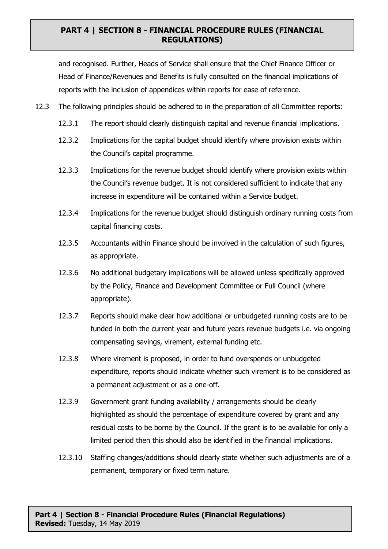and recognised. Further, Heads of Service shall ensure that the Chief Finance Officer or Head of Finance/Revenues and Benefits is fully consulted on the financial implications of reports with the inclusion of appendices within reports for ease of reference.

- 12.3 The following principles should be adhered to in the preparation of all Committee reports:
	- 12.3.1 The report should clearly distinguish capital and revenue financial implications.
	- 12.3.2 Implications for the capital budget should identify where provision exists within the Council's capital programme.
	- 12.3.3 Implications for the revenue budget should identify where provision exists within the Council's revenue budget. It is not considered sufficient to indicate that any increase in expenditure will be contained within a Service budget.
	- 12.3.4 Implications for the revenue budget should distinguish ordinary running costs from capital financing costs.
	- 12.3.5 Accountants within Finance should be involved in the calculation of such figures, as appropriate.
	- 12.3.6 No additional budgetary implications will be allowed unless specifically approved by the Policy, Finance and Development Committee or Full Council (where appropriate).
	- 12.3.7 Reports should make clear how additional or unbudgeted running costs are to be funded in both the current year and future years revenue budgets i.e. via ongoing compensating savings, virement, external funding etc.
	- 12.3.8 Where virement is proposed, in order to fund overspends or unbudgeted expenditure, reports should indicate whether such virement is to be considered as a permanent adjustment or as a one-off.
	- 12.3.9 Government grant funding availability / arrangements should be clearly highlighted as should the percentage of expenditure covered by grant and any residual costs to be borne by the Council. If the grant is to be available for only a limited period then this should also be identified in the financial implications.
	- 12.3.10 Staffing changes/additions should clearly state whether such adjustments are of a permanent, temporary or fixed term nature.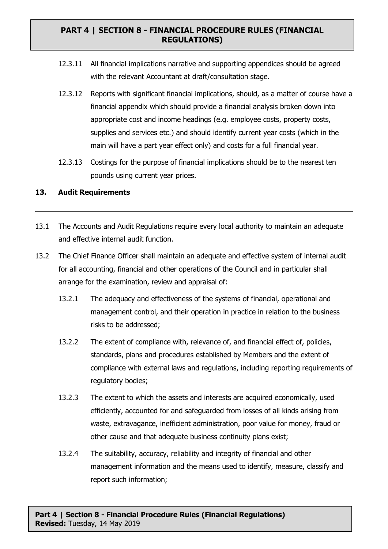- 12.3.11 All financial implications narrative and supporting appendices should be agreed with the relevant Accountant at draft/consultation stage.
- 12.3.12 Reports with significant financial implications, should, as a matter of course have a financial appendix which should provide a financial analysis broken down into appropriate cost and income headings (e.g. employee costs, property costs, supplies and services etc.) and should identify current year costs (which in the main will have a part year effect only) and costs for a full financial year.
- 12.3.13 Costings for the purpose of financial implications should be to the nearest ten pounds using current year prices.

#### **13. Audit Requirements**

- 13.1 The Accounts and Audit Regulations require every local authority to maintain an adequate and effective internal audit function.
- 13.2 The Chief Finance Officer shall maintain an adequate and effective system of internal audit for all accounting, financial and other operations of the Council and in particular shall arrange for the examination, review and appraisal of:
	- 13.2.1 The adequacy and effectiveness of the systems of financial, operational and management control, and their operation in practice in relation to the business risks to be addressed;
	- 13.2.2 The extent of compliance with, relevance of, and financial effect of, policies, standards, plans and procedures established by Members and the extent of compliance with external laws and regulations, including reporting requirements of regulatory bodies;
	- 13.2.3 The extent to which the assets and interests are acquired economically, used efficiently, accounted for and safeguarded from losses of all kinds arising from waste, extravagance, inefficient administration, poor value for money, fraud or other cause and that adequate business continuity plans exist;
	- 13.2.4 The suitability, accuracy, reliability and integrity of financial and other management information and the means used to identify, measure, classify and report such information;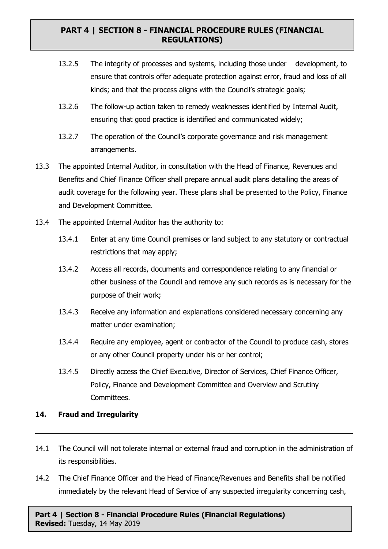- 13.2.5 The integrity of processes and systems, including those under development, to ensure that controls offer adequate protection against error, fraud and loss of all kinds; and that the process aligns with the Council's strategic goals;
- 13.2.6 The follow-up action taken to remedy weaknesses identified by Internal Audit, ensuring that good practice is identified and communicated widely;
- 13.2.7 The operation of the Council's corporate governance and risk management arrangements.
- 13.3 The appointed Internal Auditor, in consultation with the Head of Finance, Revenues and Benefits and Chief Finance Officer shall prepare annual audit plans detailing the areas of audit coverage for the following year. These plans shall be presented to the Policy, Finance and Development Committee.
- 13.4 The appointed Internal Auditor has the authority to:
	- 13.4.1 Enter at any time Council premises or land subject to any statutory or contractual restrictions that may apply;
	- 13.4.2 Access all records, documents and correspondence relating to any financial or other business of the Council and remove any such records as is necessary for the purpose of their work;
	- 13.4.3 Receive any information and explanations considered necessary concerning any matter under examination;
	- 13.4.4 Require any employee, agent or contractor of the Council to produce cash, stores or any other Council property under his or her control;
	- 13.4.5 Directly access the Chief Executive, Director of Services, Chief Finance Officer, Policy, Finance and Development Committee and Overview and Scrutiny Committees.

#### **14. Fraud and Irregularity**

- 14.1 The Council will not tolerate internal or external fraud and corruption in the administration of its responsibilities.
- 14.2 The Chief Finance Officer and the Head of Finance/Revenues and Benefits shall be notified immediately by the relevant Head of Service of any suspected irregularity concerning cash,

**Part 4 | Section 8 - Financial Procedure Rules (Financial Regulations) Revised:** Tuesday, 14 May 2019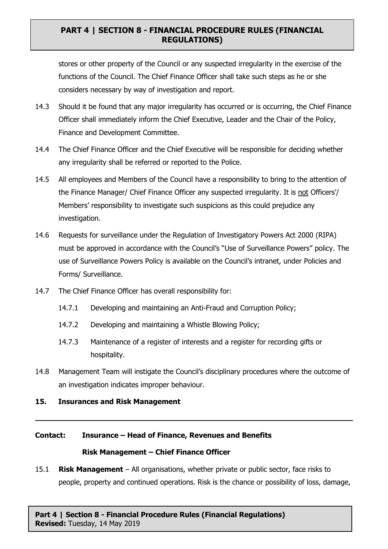stores or other property of the Council or any suspected irregularity in the exercise of the functions of the Council. The Chief Finance Officer shall take such steps as he or she considers necessary by way of investigation and report.

- 14.3 Should it be found that any major irregularity has occurred or is occurring, the Chief Finance Officer shall immediately inform the Chief Executive, Leader and the Chair of the Policy, Finance and Development Committee.
- 14.4 The Chief Finance Officer and the Chief Executive will be responsible for deciding whether any irregularity shall be referred or reported to the Police.
- 14.5 All employees and Members of the Council have a responsibility to bring to the attention of the Finance Manager/ Chief Finance Officer any suspected irregularity. It is not Officers'/ Members' responsibility to investigate such suspicions as this could prejudice any investigation.
- 14.6 Requests for surveillance under the Regulation of Investigatory Powers Act 2000 (RIPA) must be approved in accordance with the Council's "Use of Surveillance Powers" policy. The use of Surveillance Powers Policy is available on the Council's intranet, under Policies and Forms/ Surveillance.
- 14.7 The Chief Finance Officer has overall responsibility for:
	- 14.7.1 Developing and maintaining an Anti-Fraud and Corruption Policy;
	- 14.7.2 Developing and maintaining a Whistle Blowing Policy;
	- 14.7.3 Maintenance of a register of interests and a register for recording gifts or hospitality.
- 14.8 Management Team will instigate the Council's disciplinary procedures where the outcome of an investigation indicates improper behaviour.

# **15. Insurances and Risk Management**

# **Contact: Insurance – Head of Finance, Revenues and Benefits Risk Management – Chief Finance Officer**

15.1 **Risk Management** – All organisations, whether private or public sector, face risks to people, property and continued operations. Risk is the chance or possibility of loss, damage,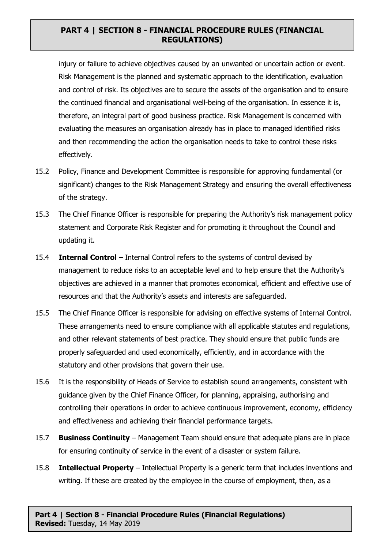injury or failure to achieve objectives caused by an unwanted or uncertain action or event. Risk Management is the planned and systematic approach to the identification, evaluation and control of risk. Its objectives are to secure the assets of the organisation and to ensure the continued financial and organisational well-being of the organisation. In essence it is, therefore, an integral part of good business practice. Risk Management is concerned with evaluating the measures an organisation already has in place to managed identified risks and then recommending the action the organisation needs to take to control these risks effectively.

- 15.2 Policy, Finance and Development Committee is responsible for approving fundamental (or significant) changes to the Risk Management Strategy and ensuring the overall effectiveness of the strategy.
- 15.3 The Chief Finance Officer is responsible for preparing the Authority's risk management policy statement and Corporate Risk Register and for promoting it throughout the Council and updating it.
- 15.4 **Internal Control** Internal Control refers to the systems of control devised by management to reduce risks to an acceptable level and to help ensure that the Authority's objectives are achieved in a manner that promotes economical, efficient and effective use of resources and that the Authority's assets and interests are safeguarded.
- 15.5 The Chief Finance Officer is responsible for advising on effective systems of Internal Control. These arrangements need to ensure compliance with all applicable statutes and regulations, and other relevant statements of best practice. They should ensure that public funds are properly safeguarded and used economically, efficiently, and in accordance with the statutory and other provisions that govern their use.
- 15.6 It is the responsibility of Heads of Service to establish sound arrangements, consistent with guidance given by the Chief Finance Officer, for planning, appraising, authorising and controlling their operations in order to achieve continuous improvement, economy, efficiency and effectiveness and achieving their financial performance targets.
- 15.7 **Business Continuity** Management Team should ensure that adequate plans are in place for ensuring continuity of service in the event of a disaster or system failure.
- 15.8 **Intellectual Property** Intellectual Property is a generic term that includes inventions and writing. If these are created by the employee in the course of employment, then, as a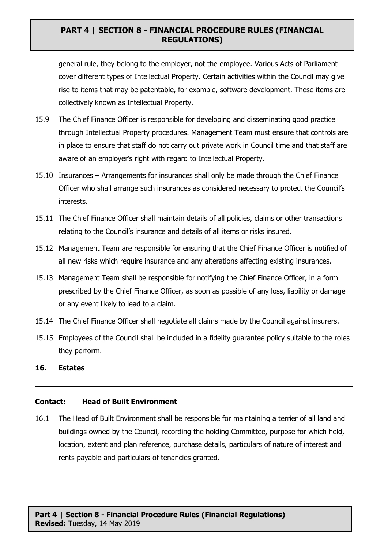general rule, they belong to the employer, not the employee. Various Acts of Parliament cover different types of Intellectual Property. Certain activities within the Council may give rise to items that may be patentable, for example, software development. These items are collectively known as Intellectual Property.

- 15.9 The Chief Finance Officer is responsible for developing and disseminating good practice through Intellectual Property procedures. Management Team must ensure that controls are in place to ensure that staff do not carry out private work in Council time and that staff are aware of an employer's right with regard to Intellectual Property.
- 15.10 Insurances Arrangements for insurances shall only be made through the Chief Finance Officer who shall arrange such insurances as considered necessary to protect the Council's interests.
- 15.11 The Chief Finance Officer shall maintain details of all policies, claims or other transactions relating to the Council's insurance and details of all items or risks insured.
- 15.12 Management Team are responsible for ensuring that the Chief Finance Officer is notified of all new risks which require insurance and any alterations affecting existing insurances.
- 15.13 Management Team shall be responsible for notifying the Chief Finance Officer, in a form prescribed by the Chief Finance Officer, as soon as possible of any loss, liability or damage or any event likely to lead to a claim.
- 15.14 The Chief Finance Officer shall negotiate all claims made by the Council against insurers.
- 15.15 Employees of the Council shall be included in a fidelity guarantee policy suitable to the roles they perform.
- **16. Estates**

#### **Contact: Head of Built Environment**

16.1 The Head of Built Environment shall be responsible for maintaining a terrier of all land and buildings owned by the Council, recording the holding Committee, purpose for which held, location, extent and plan reference, purchase details, particulars of nature of interest and rents payable and particulars of tenancies granted.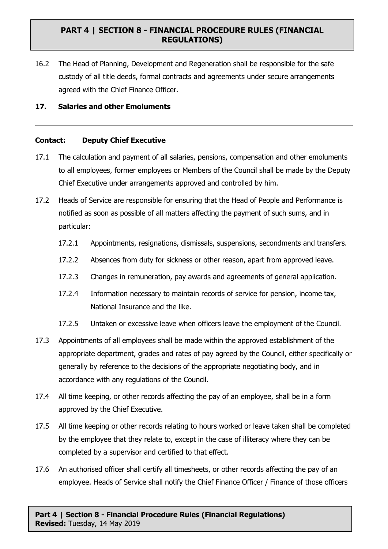16.2 The Head of Planning, Development and Regeneration shall be responsible for the safe custody of all title deeds, formal contracts and agreements under secure arrangements agreed with the Chief Finance Officer.

#### **17. Salaries and other Emoluments**

#### **Contact: Deputy Chief Executive**

- 17.1 The calculation and payment of all salaries, pensions, compensation and other emoluments to all employees, former employees or Members of the Council shall be made by the Deputy Chief Executive under arrangements approved and controlled by him.
- 17.2 Heads of Service are responsible for ensuring that the Head of People and Performance is notified as soon as possible of all matters affecting the payment of such sums, and in particular:
	- 17.2.1 Appointments, resignations, dismissals, suspensions, secondments and transfers.
	- 17.2.2 Absences from duty for sickness or other reason, apart from approved leave.
	- 17.2.3 Changes in remuneration, pay awards and agreements of general application.
	- 17.2.4 Information necessary to maintain records of service for pension, income tax, National Insurance and the like.
	- 17.2.5 Untaken or excessive leave when officers leave the employment of the Council.
- 17.3 Appointments of all employees shall be made within the approved establishment of the appropriate department, grades and rates of pay agreed by the Council, either specifically or generally by reference to the decisions of the appropriate negotiating body, and in accordance with any regulations of the Council.
- 17.4 All time keeping, or other records affecting the pay of an employee, shall be in a form approved by the Chief Executive.
- 17.5 All time keeping or other records relating to hours worked or leave taken shall be completed by the employee that they relate to, except in the case of illiteracy where they can be completed by a supervisor and certified to that effect.
- 17.6 An authorised officer shall certify all timesheets, or other records affecting the pay of an employee. Heads of Service shall notify the Chief Finance Officer / Finance of those officers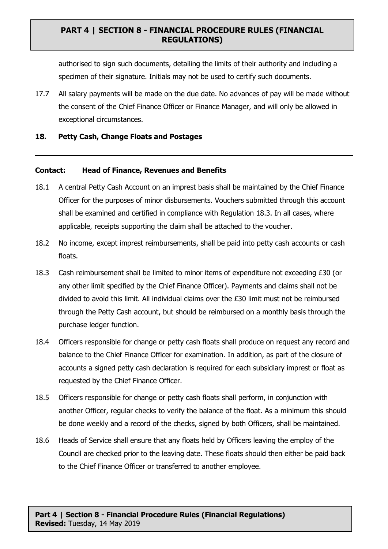authorised to sign such documents, detailing the limits of their authority and including a specimen of their signature. Initials may not be used to certify such documents.

17.7 All salary payments will be made on the due date. No advances of pay will be made without the consent of the Chief Finance Officer or Finance Manager, and will only be allowed in exceptional circumstances.

#### **18. Petty Cash, Change Floats and Postages**

#### **Contact: Head of Finance, Revenues and Benefits**

- 18.1 A central Petty Cash Account on an imprest basis shall be maintained by the Chief Finance Officer for the purposes of minor disbursements. Vouchers submitted through this account shall be examined and certified in compliance with Regulation 18.3. In all cases, where applicable, receipts supporting the claim shall be attached to the voucher.
- 18.2 No income, except imprest reimbursements, shall be paid into petty cash accounts or cash floats.
- 18.3 Cash reimbursement shall be limited to minor items of expenditure not exceeding £30 (or any other limit specified by the Chief Finance Officer). Payments and claims shall not be divided to avoid this limit. All individual claims over the £30 limit must not be reimbursed through the Petty Cash account, but should be reimbursed on a monthly basis through the purchase ledger function.
- 18.4 Officers responsible for change or petty cash floats shall produce on request any record and balance to the Chief Finance Officer for examination. In addition, as part of the closure of accounts a signed petty cash declaration is required for each subsidiary imprest or float as requested by the Chief Finance Officer.
- 18.5 Officers responsible for change or petty cash floats shall perform, in conjunction with another Officer, regular checks to verify the balance of the float. As a minimum this should be done weekly and a record of the checks, signed by both Officers, shall be maintained.
- 18.6 Heads of Service shall ensure that any floats held by Officers leaving the employ of the Council are checked prior to the leaving date. These floats should then either be paid back to the Chief Finance Officer or transferred to another employee.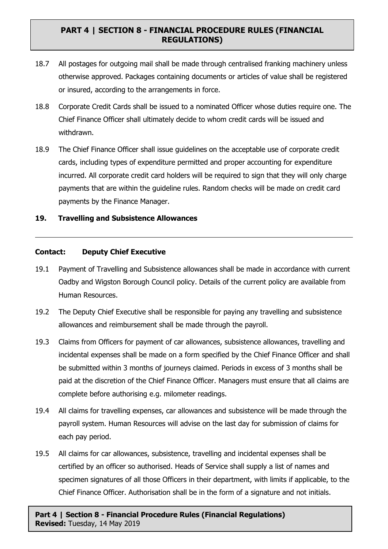- 18.7 All postages for outgoing mail shall be made through centralised franking machinery unless otherwise approved. Packages containing documents or articles of value shall be registered or insured, according to the arrangements in force.
- 18.8 Corporate Credit Cards shall be issued to a nominated Officer whose duties require one. The Chief Finance Officer shall ultimately decide to whom credit cards will be issued and withdrawn.
- 18.9 The Chief Finance Officer shall issue guidelines on the acceptable use of corporate credit cards, including types of expenditure permitted and proper accounting for expenditure incurred. All corporate credit card holders will be required to sign that they will only charge payments that are within the guideline rules. Random checks will be made on credit card payments by the Finance Manager.

#### **19. Travelling and Subsistence Allowances**

#### **Contact: Deputy Chief Executive**

- 19.1 Payment of Travelling and Subsistence allowances shall be made in accordance with current Oadby and Wigston Borough Council policy. Details of the current policy are available from Human Resources.
- 19.2 The Deputy Chief Executive shall be responsible for paying any travelling and subsistence allowances and reimbursement shall be made through the payroll.
- 19.3 Claims from Officers for payment of car allowances, subsistence allowances, travelling and incidental expenses shall be made on a form specified by the Chief Finance Officer and shall be submitted within 3 months of journeys claimed. Periods in excess of 3 months shall be paid at the discretion of the Chief Finance Officer. Managers must ensure that all claims are complete before authorising e.g. milometer readings.
- 19.4 All claims for travelling expenses, car allowances and subsistence will be made through the payroll system. Human Resources will advise on the last day for submission of claims for each pay period.
- 19.5 All claims for car allowances, subsistence, travelling and incidental expenses shall be certified by an officer so authorised. Heads of Service shall supply a list of names and specimen signatures of all those Officers in their department, with limits if applicable, to the Chief Finance Officer. Authorisation shall be in the form of a signature and not initials.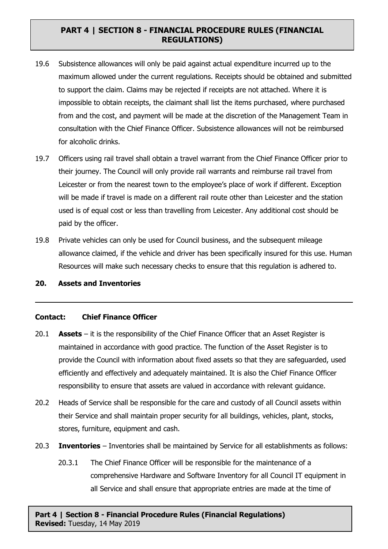- 19.6 Subsistence allowances will only be paid against actual expenditure incurred up to the maximum allowed under the current regulations. Receipts should be obtained and submitted to support the claim. Claims may be rejected if receipts are not attached. Where it is impossible to obtain receipts, the claimant shall list the items purchased, where purchased from and the cost, and payment will be made at the discretion of the Management Team in consultation with the Chief Finance Officer. Subsistence allowances will not be reimbursed for alcoholic drinks.
- 19.7 Officers using rail travel shall obtain a travel warrant from the Chief Finance Officer prior to their journey. The Council will only provide rail warrants and reimburse rail travel from Leicester or from the nearest town to the employee's place of work if different. Exception will be made if travel is made on a different rail route other than Leicester and the station used is of equal cost or less than travelling from Leicester. Any additional cost should be paid by the officer.
- 19.8 Private vehicles can only be used for Council business, and the subsequent mileage allowance claimed, if the vehicle and driver has been specifically insured for this use. Human Resources will make such necessary checks to ensure that this regulation is adhered to.

#### **20. Assets and Inventories**

#### **Contact: Chief Finance Officer**

- 20.1 **Assets** it is the responsibility of the Chief Finance Officer that an Asset Register is maintained in accordance with good practice. The function of the Asset Register is to provide the Council with information about fixed assets so that they are safeguarded, used efficiently and effectively and adequately maintained. It is also the Chief Finance Officer responsibility to ensure that assets are valued in accordance with relevant guidance.
- 20.2 Heads of Service shall be responsible for the care and custody of all Council assets within their Service and shall maintain proper security for all buildings, vehicles, plant, stocks, stores, furniture, equipment and cash.
- 20.3 **Inventories** Inventories shall be maintained by Service for all establishments as follows:
	- 20.3.1 The Chief Finance Officer will be responsible for the maintenance of a comprehensive Hardware and Software Inventory for all Council IT equipment in all Service and shall ensure that appropriate entries are made at the time of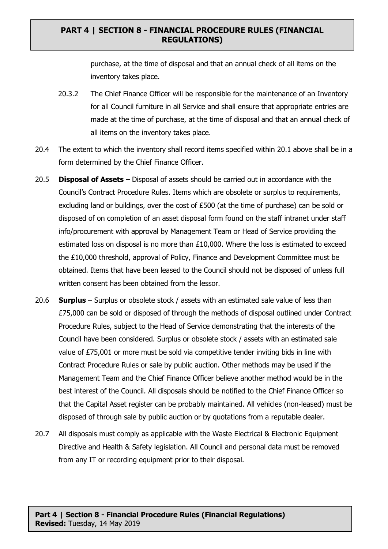purchase, at the time of disposal and that an annual check of all items on the inventory takes place.

- 20.3.2 The Chief Finance Officer will be responsible for the maintenance of an Inventory for all Council furniture in all Service and shall ensure that appropriate entries are made at the time of purchase, at the time of disposal and that an annual check of all items on the inventory takes place.
- 20.4 The extent to which the inventory shall record items specified within 20.1 above shall be in a form determined by the Chief Finance Officer.
- 20.5 **Disposal of Assets** Disposal of assets should be carried out in accordance with the Council's Contract Procedure Rules. Items which are obsolete or surplus to requirements, excluding land or buildings, over the cost of £500 (at the time of purchase) can be sold or disposed of on completion of an asset disposal form found on the staff intranet under staff info/procurement with approval by Management Team or Head of Service providing the estimated loss on disposal is no more than £10,000. Where the loss is estimated to exceed the £10,000 threshold, approval of Policy, Finance and Development Committee must be obtained. Items that have been leased to the Council should not be disposed of unless full written consent has been obtained from the lessor.
- 20.6 **Surplus** Surplus or obsolete stock / assets with an estimated sale value of less than £75,000 can be sold or disposed of through the methods of disposal outlined under Contract Procedure Rules, subject to the Head of Service demonstrating that the interests of the Council have been considered. Surplus or obsolete stock / assets with an estimated sale value of £75,001 or more must be sold via competitive tender inviting bids in line with Contract Procedure Rules or sale by public auction. Other methods may be used if the Management Team and the Chief Finance Officer believe another method would be in the best interest of the Council. All disposals should be notified to the Chief Finance Officer so that the Capital Asset register can be probably maintained. All vehicles (non-leased) must be disposed of through sale by public auction or by quotations from a reputable dealer.
- 20.7 All disposals must comply as applicable with the Waste Electrical & Electronic Equipment Directive and Health & Safety legislation. All Council and personal data must be removed from any IT or recording equipment prior to their disposal.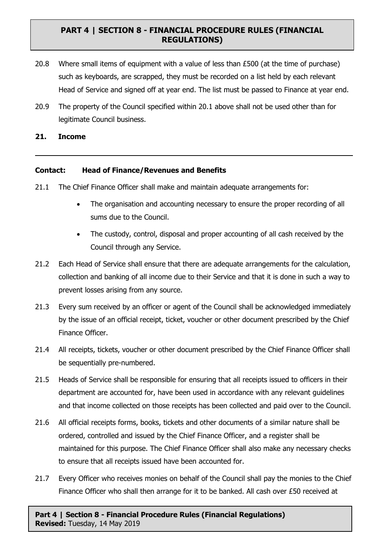- 20.8 Where small items of equipment with a value of less than  $£500$  (at the time of purchase) such as keyboards, are scrapped, they must be recorded on a list held by each relevant Head of Service and signed off at year end. The list must be passed to Finance at year end.
- 20.9 The property of the Council specified within 20.1 above shall not be used other than for legitimate Council business.

#### **21. Income**

#### **Contact: Head of Finance/Revenues and Benefits**

- 21.1 The Chief Finance Officer shall make and maintain adequate arrangements for:
	- The organisation and accounting necessary to ensure the proper recording of all sums due to the Council.
	- The custody, control, disposal and proper accounting of all cash received by the Council through any Service.
- 21.2 Each Head of Service shall ensure that there are adequate arrangements for the calculation, collection and banking of all income due to their Service and that it is done in such a way to prevent losses arising from any source.
- 21.3 Every sum received by an officer or agent of the Council shall be acknowledged immediately by the issue of an official receipt, ticket, voucher or other document prescribed by the Chief Finance Officer.
- 21.4 All receipts, tickets, voucher or other document prescribed by the Chief Finance Officer shall be sequentially pre-numbered.
- 21.5 Heads of Service shall be responsible for ensuring that all receipts issued to officers in their department are accounted for, have been used in accordance with any relevant guidelines and that income collected on those receipts has been collected and paid over to the Council.
- 21.6 All official receipts forms, books, tickets and other documents of a similar nature shall be ordered, controlled and issued by the Chief Finance Officer, and a register shall be maintained for this purpose. The Chief Finance Officer shall also make any necessary checks to ensure that all receipts issued have been accounted for.
- 21.7 Every Officer who receives monies on behalf of the Council shall pay the monies to the Chief Finance Officer who shall then arrange for it to be banked. All cash over £50 received at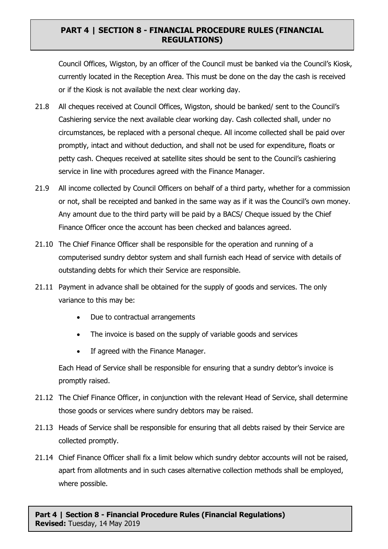Council Offices, Wigston, by an officer of the Council must be banked via the Council's Kiosk, currently located in the Reception Area. This must be done on the day the cash is received or if the Kiosk is not available the next clear working day.

- 21.8 All cheques received at Council Offices, Wigston, should be banked/ sent to the Council's Cashiering service the next available clear working day. Cash collected shall, under no circumstances, be replaced with a personal cheque. All income collected shall be paid over promptly, intact and without deduction, and shall not be used for expenditure, floats or petty cash. Cheques received at satellite sites should be sent to the Council's cashiering service in line with procedures agreed with the Finance Manager.
- 21.9 All income collected by Council Officers on behalf of a third party, whether for a commission or not, shall be receipted and banked in the same way as if it was the Council's own money. Any amount due to the third party will be paid by a BACS/ Cheque issued by the Chief Finance Officer once the account has been checked and balances agreed.
- 21.10 The Chief Finance Officer shall be responsible for the operation and running of a computerised sundry debtor system and shall furnish each Head of service with details of outstanding debts for which their Service are responsible.
- 21.11 Payment in advance shall be obtained for the supply of goods and services. The only variance to this may be:
	- Due to contractual arrangements
	- The invoice is based on the supply of variable goods and services
	- If agreed with the Finance Manager.

Each Head of Service shall be responsible for ensuring that a sundry debtor's invoice is promptly raised.

- 21.12 The Chief Finance Officer, in conjunction with the relevant Head of Service, shall determine those goods or services where sundry debtors may be raised.
- 21.13 Heads of Service shall be responsible for ensuring that all debts raised by their Service are collected promptly.
- 21.14 Chief Finance Officer shall fix a limit below which sundry debtor accounts will not be raised, apart from allotments and in such cases alternative collection methods shall be employed, where possible.

**Part 4 | Section 8 - Financial Procedure Rules (Financial Regulations) Revised:** Tuesday, 14 May 2019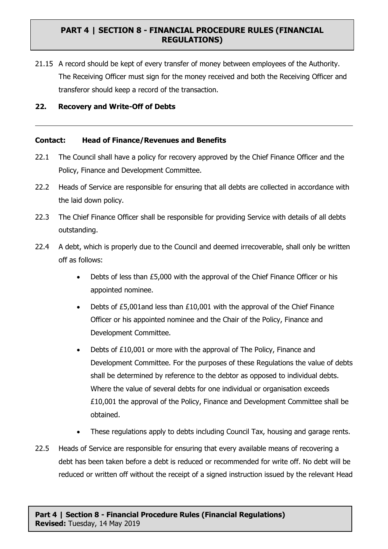21.15 A record should be kept of every transfer of money between employees of the Authority. The Receiving Officer must sign for the money received and both the Receiving Officer and transferor should keep a record of the transaction.

#### **22. Recovery and Write-Off of Debts**

#### **Contact: Head of Finance/Revenues and Benefits**

- 22.1 The Council shall have a policy for recovery approved by the Chief Finance Officer and the Policy, Finance and Development Committee.
- 22.2 Heads of Service are responsible for ensuring that all debts are collected in accordance with the laid down policy.
- 22.3 The Chief Finance Officer shall be responsible for providing Service with details of all debts outstanding.
- 22.4 A debt, which is properly due to the Council and deemed irrecoverable, shall only be written off as follows:
	- Debts of less than £5,000 with the approval of the Chief Finance Officer or his appointed nominee.
	- Debts of £5,001and less than £10,001 with the approval of the Chief Finance Officer or his appointed nominee and the Chair of the Policy, Finance and Development Committee.
	- Debts of £10,001 or more with the approval of The Policy, Finance and Development Committee. For the purposes of these Regulations the value of debts shall be determined by reference to the debtor as opposed to individual debts. Where the value of several debts for one individual or organisation exceeds £10,001 the approval of the Policy, Finance and Development Committee shall be obtained.
	- These regulations apply to debts including Council Tax, housing and garage rents.
- 22.5 Heads of Service are responsible for ensuring that every available means of recovering a debt has been taken before a debt is reduced or recommended for write off. No debt will be reduced or written off without the receipt of a signed instruction issued by the relevant Head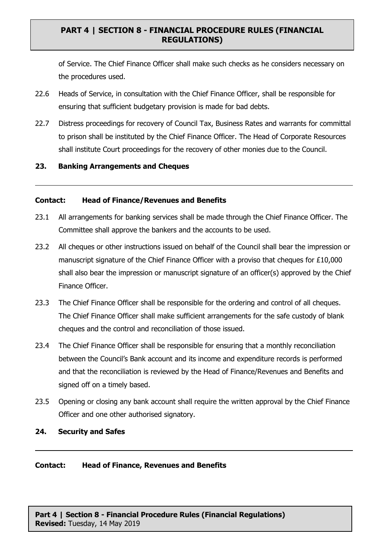of Service. The Chief Finance Officer shall make such checks as he considers necessary on the procedures used.

- 22.6 Heads of Service, in consultation with the Chief Finance Officer, shall be responsible for ensuring that sufficient budgetary provision is made for bad debts.
- 22.7 Distress proceedings for recovery of Council Tax, Business Rates and warrants for committal to prison shall be instituted by the Chief Finance Officer. The Head of Corporate Resources shall institute Court proceedings for the recovery of other monies due to the Council.

#### **23. Banking Arrangements and Cheques**

#### **Contact: Head of Finance/Revenues and Benefits**

- 23.1 All arrangements for banking services shall be made through the Chief Finance Officer. The Committee shall approve the bankers and the accounts to be used.
- 23.2 All cheques or other instructions issued on behalf of the Council shall bear the impression or manuscript signature of the Chief Finance Officer with a proviso that cheques for £10,000 shall also bear the impression or manuscript signature of an officer(s) approved by the Chief Finance Officer.
- 23.3 The Chief Finance Officer shall be responsible for the ordering and control of all cheques. The Chief Finance Officer shall make sufficient arrangements for the safe custody of blank cheques and the control and reconciliation of those issued.
- 23.4 The Chief Finance Officer shall be responsible for ensuring that a monthly reconciliation between the Council's Bank account and its income and expenditure records is performed and that the reconciliation is reviewed by the Head of Finance/Revenues and Benefits and signed off on a timely based.
- 23.5 Opening or closing any bank account shall require the written approval by the Chief Finance Officer and one other authorised signatory.
- **24. Security and Safes**

#### **Contact: Head of Finance, Revenues and Benefits**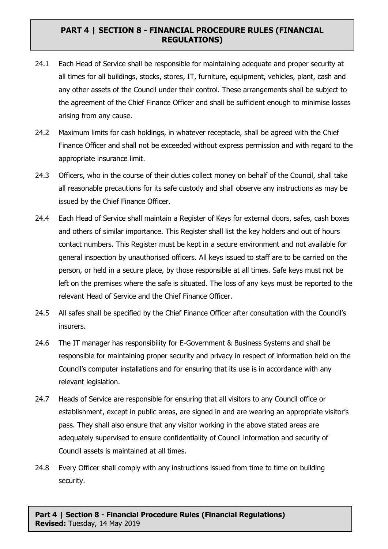- 24.1 Each Head of Service shall be responsible for maintaining adequate and proper security at all times for all buildings, stocks, stores, IT, furniture, equipment, vehicles, plant, cash and any other assets of the Council under their control. These arrangements shall be subject to the agreement of the Chief Finance Officer and shall be sufficient enough to minimise losses arising from any cause.
- 24.2 Maximum limits for cash holdings, in whatever receptacle, shall be agreed with the Chief Finance Officer and shall not be exceeded without express permission and with regard to the appropriate insurance limit.
- 24.3 Officers, who in the course of their duties collect money on behalf of the Council, shall take all reasonable precautions for its safe custody and shall observe any instructions as may be issued by the Chief Finance Officer.
- 24.4 Each Head of Service shall maintain a Register of Keys for external doors, safes, cash boxes and others of similar importance. This Register shall list the key holders and out of hours contact numbers. This Register must be kept in a secure environment and not available for general inspection by unauthorised officers. All keys issued to staff are to be carried on the person, or held in a secure place, by those responsible at all times. Safe keys must not be left on the premises where the safe is situated. The loss of any keys must be reported to the relevant Head of Service and the Chief Finance Officer.
- 24.5 All safes shall be specified by the Chief Finance Officer after consultation with the Council's insurers.
- 24.6 The IT manager has responsibility for E-Government & Business Systems and shall be responsible for maintaining proper security and privacy in respect of information held on the Council's computer installations and for ensuring that its use is in accordance with any relevant legislation.
- 24.7 Heads of Service are responsible for ensuring that all visitors to any Council office or establishment, except in public areas, are signed in and are wearing an appropriate visitor's pass. They shall also ensure that any visitor working in the above stated areas are adequately supervised to ensure confidentiality of Council information and security of Council assets is maintained at all times.
- 24.8 Every Officer shall comply with any instructions issued from time to time on building security.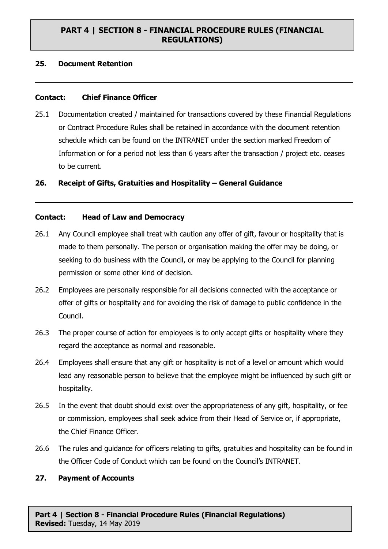#### **25. Document Retention**

#### **Contact: Chief Finance Officer**

25.1 Documentation created / maintained for transactions covered by these Financial Regulations or Contract Procedure Rules shall be retained in accordance with the document retention schedule which can be found on the INTRANET under the section marked Freedom of Information or for a period not less than 6 years after the transaction / project etc. ceases to be current.

#### **26. Receipt of Gifts, Gratuities and Hospitality – General Guidance**

#### **Contact: Head of Law and Democracy**

- 26.1 Any Council employee shall treat with caution any offer of gift, favour or hospitality that is made to them personally. The person or organisation making the offer may be doing, or seeking to do business with the Council, or may be applying to the Council for planning permission or some other kind of decision.
- 26.2 Employees are personally responsible for all decisions connected with the acceptance or offer of gifts or hospitality and for avoiding the risk of damage to public confidence in the Council.
- 26.3 The proper course of action for employees is to only accept gifts or hospitality where they regard the acceptance as normal and reasonable.
- 26.4 Employees shall ensure that any gift or hospitality is not of a level or amount which would lead any reasonable person to believe that the employee might be influenced by such gift or hospitality.
- 26.5 In the event that doubt should exist over the appropriateness of any gift, hospitality, or fee or commission, employees shall seek advice from their Head of Service or, if appropriate, the Chief Finance Officer.
- 26.6 The rules and guidance for officers relating to gifts, gratuities and hospitality can be found in the Officer Code of Conduct which can be found on the Council's INTRANET.

#### **27. Payment of Accounts**

**Part 4 | Section 8 - Financial Procedure Rules (Financial Regulations) Revised:** Tuesday, 14 May 2019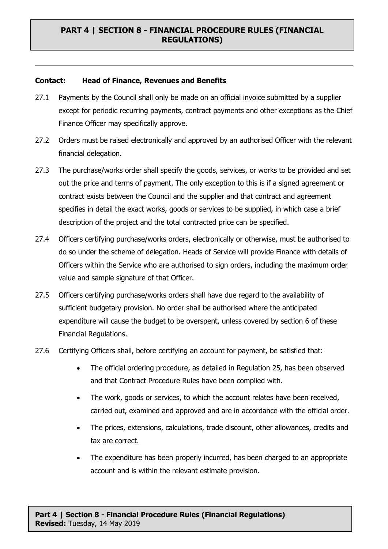#### **Contact: Head of Finance, Revenues and Benefits**

- 27.1 Payments by the Council shall only be made on an official invoice submitted by a supplier except for periodic recurring payments, contract payments and other exceptions as the Chief Finance Officer may specifically approve.
- 27.2 Orders must be raised electronically and approved by an authorised Officer with the relevant financial delegation.
- 27.3 The purchase/works order shall specify the goods, services, or works to be provided and set out the price and terms of payment. The only exception to this is if a signed agreement or contract exists between the Council and the supplier and that contract and agreement specifies in detail the exact works, goods or services to be supplied, in which case a brief description of the project and the total contracted price can be specified.
- 27.4 Officers certifying purchase/works orders, electronically or otherwise, must be authorised to do so under the scheme of delegation. Heads of Service will provide Finance with details of Officers within the Service who are authorised to sign orders, including the maximum order value and sample signature of that Officer.
- 27.5 Officers certifying purchase/works orders shall have due regard to the availability of sufficient budgetary provision. No order shall be authorised where the anticipated expenditure will cause the budget to be overspent, unless covered by section 6 of these Financial Regulations.
- 27.6 Certifying Officers shall, before certifying an account for payment, be satisfied that:
	- The official ordering procedure, as detailed in Regulation 25, has been observed and that Contract Procedure Rules have been complied with.
	- The work, goods or services, to which the account relates have been received, carried out, examined and approved and are in accordance with the official order.
	- The prices, extensions, calculations, trade discount, other allowances, credits and tax are correct.
	- The expenditure has been properly incurred, has been charged to an appropriate account and is within the relevant estimate provision.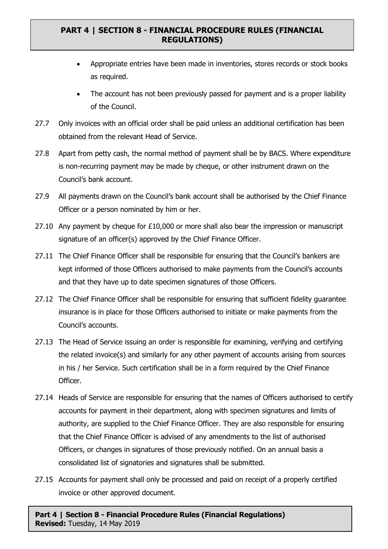- Appropriate entries have been made in inventories, stores records or stock books as required.
- The account has not been previously passed for payment and is a proper liability of the Council.
- 27.7 Only invoices with an official order shall be paid unless an additional certification has been obtained from the relevant Head of Service.
- 27.8 Apart from petty cash, the normal method of payment shall be by BACS. Where expenditure is non-recurring payment may be made by cheque, or other instrument drawn on the Council's bank account.
- 27.9 All payments drawn on the Council's bank account shall be authorised by the Chief Finance Officer or a person nominated by him or her.
- 27.10 Any payment by cheque for £10,000 or more shall also bear the impression or manuscript signature of an officer(s) approved by the Chief Finance Officer.
- 27.11 The Chief Finance Officer shall be responsible for ensuring that the Council's bankers are kept informed of those Officers authorised to make payments from the Council's accounts and that they have up to date specimen signatures of those Officers.
- 27.12 The Chief Finance Officer shall be responsible for ensuring that sufficient fidelity guarantee insurance is in place for those Officers authorised to initiate or make payments from the Council's accounts.
- 27.13 The Head of Service issuing an order is responsible for examining, verifying and certifying the related invoice(s) and similarly for any other payment of accounts arising from sources in his / her Service. Such certification shall be in a form required by the Chief Finance Officer.
- 27.14 Heads of Service are responsible for ensuring that the names of Officers authorised to certify accounts for payment in their department, along with specimen signatures and limits of authority, are supplied to the Chief Finance Officer. They are also responsible for ensuring that the Chief Finance Officer is advised of any amendments to the list of authorised Officers, or changes in signatures of those previously notified. On an annual basis a consolidated list of signatories and signatures shall be submitted.
- 27.15 Accounts for payment shall only be processed and paid on receipt of a properly certified invoice or other approved document.

**Part 4 | Section 8 - Financial Procedure Rules (Financial Regulations) Revised:** Tuesday, 14 May 2019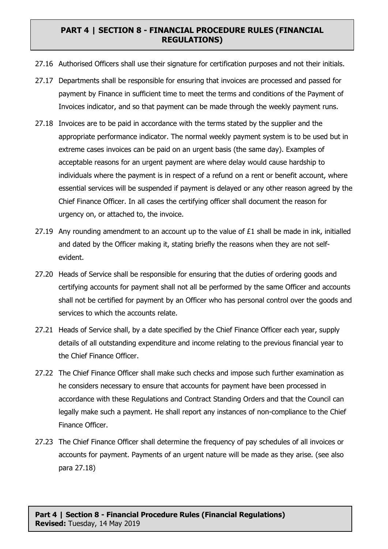- 27.16 Authorised Officers shall use their signature for certification purposes and not their initials.
- 27.17 Departments shall be responsible for ensuring that invoices are processed and passed for payment by Finance in sufficient time to meet the terms and conditions of the Payment of Invoices indicator, and so that payment can be made through the weekly payment runs.
- 27.18 Invoices are to be paid in accordance with the terms stated by the supplier and the appropriate performance indicator. The normal weekly payment system is to be used but in extreme cases invoices can be paid on an urgent basis (the same day). Examples of acceptable reasons for an urgent payment are where delay would cause hardship to individuals where the payment is in respect of a refund on a rent or benefit account, where essential services will be suspended if payment is delayed or any other reason agreed by the Chief Finance Officer. In all cases the certifying officer shall document the reason for urgency on, or attached to, the invoice.
- 27.19 Any rounding amendment to an account up to the value of £1 shall be made in ink, initialled and dated by the Officer making it, stating briefly the reasons when they are not selfevident.
- 27.20 Heads of Service shall be responsible for ensuring that the duties of ordering goods and certifying accounts for payment shall not all be performed by the same Officer and accounts shall not be certified for payment by an Officer who has personal control over the goods and services to which the accounts relate.
- 27.21 Heads of Service shall, by a date specified by the Chief Finance Officer each year, supply details of all outstanding expenditure and income relating to the previous financial year to the Chief Finance Officer.
- 27.22 The Chief Finance Officer shall make such checks and impose such further examination as he considers necessary to ensure that accounts for payment have been processed in accordance with these Regulations and Contract Standing Orders and that the Council can legally make such a payment. He shall report any instances of non-compliance to the Chief Finance Officer.
- 27.23 The Chief Finance Officer shall determine the frequency of pay schedules of all invoices or accounts for payment. Payments of an urgent nature will be made as they arise. (see also para 27.18)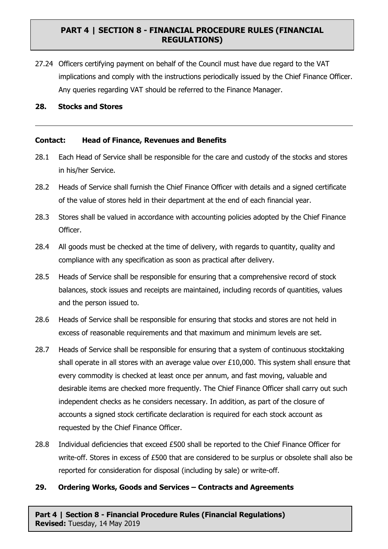27.24 Officers certifying payment on behalf of the Council must have due regard to the VAT implications and comply with the instructions periodically issued by the Chief Finance Officer. Any queries regarding VAT should be referred to the Finance Manager.

#### **28. Stocks and Stores**

#### **Contact: Head of Finance, Revenues and Benefits**

- 28.1 Each Head of Service shall be responsible for the care and custody of the stocks and stores in his/her Service.
- 28.2 Heads of Service shall furnish the Chief Finance Officer with details and a signed certificate of the value of stores held in their department at the end of each financial year.
- 28.3 Stores shall be valued in accordance with accounting policies adopted by the Chief Finance Officer.
- 28.4 All goods must be checked at the time of delivery, with regards to quantity, quality and compliance with any specification as soon as practical after delivery.
- 28.5 Heads of Service shall be responsible for ensuring that a comprehensive record of stock balances, stock issues and receipts are maintained, including records of quantities, values and the person issued to.
- 28.6 Heads of Service shall be responsible for ensuring that stocks and stores are not held in excess of reasonable requirements and that maximum and minimum levels are set.
- 28.7 Heads of Service shall be responsible for ensuring that a system of continuous stocktaking shall operate in all stores with an average value over £10,000. This system shall ensure that every commodity is checked at least once per annum, and fast moving, valuable and desirable items are checked more frequently. The Chief Finance Officer shall carry out such independent checks as he considers necessary. In addition, as part of the closure of accounts a signed stock certificate declaration is required for each stock account as requested by the Chief Finance Officer.
- 28.8 Individual deficiencies that exceed £500 shall be reported to the Chief Finance Officer for write-off. Stores in excess of £500 that are considered to be surplus or obsolete shall also be reported for consideration for disposal (including by sale) or write-off.

#### **29. Ordering Works, Goods and Services – Contracts and Agreements**

**Part 4 | Section 8 - Financial Procedure Rules (Financial Regulations) Revised:** Tuesday, 14 May 2019